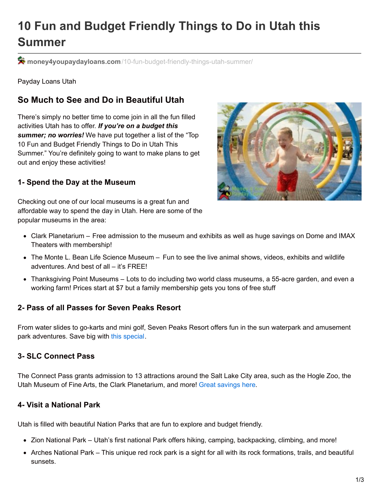# **10 Fun and Budget Friendly Things to Do in Utah this Summer**

**money4youpaydayloans.com**[/10-fun-budget-friendly-things-utah-summer/](https://money4youpaydayloans.com/10-fun-budget-friendly-things-utah-summer/)

Payday Loans Utah

## **So Much to See and Do in Beautiful Utah**

There's simply no better time to come join in all the fun filled activities Utah has to offer. *If you're on a budget this summer; no worries!* We have put together a list of the "Top 10 Fun and Budget Friendly Things to Do in Utah This Summer." You're definitely going to want to make plans to get out and enjoy these activities!

#### **1- Spend the Day at the Museum**

Checking out one of our local museums is a great fun and affordable way to spend the day in Utah. Here are some of the popular museums in the area:



- Clark Planetarium Free admission to the museum and exhibits as well as huge savings on Dome and IMAX Theaters with membership!
- The Monte L. Bean Life Science Museum Fun to see the live animal shows, videos, exhibits and wildlife adventures. And best of all – it's FREE!
- Thanksgiving Point Museums Lots to do including two world class museums, a 55-acre garden, and even a working farm! Prices start at \$7 but a family membership gets you tons of free stuff

### **2- Pass of all Passes for Seven Peaks Resort**

From water slides to go-karts and mini golf, Seven Peaks Resort offers fun in the sun waterpark and amusement park adventures. Save big with this [special.](https://www.groupon.com/deals/seven-peaks-6?utm_source=google&utm_medium=cpc&utm_campaign=us_dt_sea_ggl_txt_ttt_sr_cbp_ch1_nbr_k*pass of all passes_m*p_d*salt-lake-city-RTC-KWService_g*RTC-KWService-seven-peaks-6-PHRASE_c*194815660240_ap*1t1_t*aud-292779337402:kwd-26683822302&loc_physical_ms=9029755&loc_interest_ms=&template=ETA3)

### **3- SLC Connect Pass**

The Connect Pass grants admission to 13 attractions around the Salt Lake City area, such as the Hogle Zoo, the Utah Museum of Fine Arts, the Clark Planetarium, and more! Great [savings](https://www.groupon.com/deals/visit-salt-lake-3-6?utm_source=google&utm_medium=cpc&utm_campaign=us_dt_sea_ggl_txt_ttt_sr_cbp_ch1_nbr_k*salt lake city visit salt lake_m*b_d*salt-lake-city-RTC-Root_g*RTC-visit-salt-lake-3-6-BROAD_c*186398293909_ap*1t1_t*aud-292779337402:kwd-60837246338&loc_physical_ms=9029755&loc_interest_ms=&template=ETA3) here.

#### **4- Visit a National Park**

Utah is filled with beautiful Nation Parks that are fun to explore and budget friendly.

- Zion National Park Utah's first national Park offers hiking, camping, backpacking, climbing, and more!
- Arches National Park This unique red rock park is a sight for all with its rock formations, trails, and beautiful sunsets.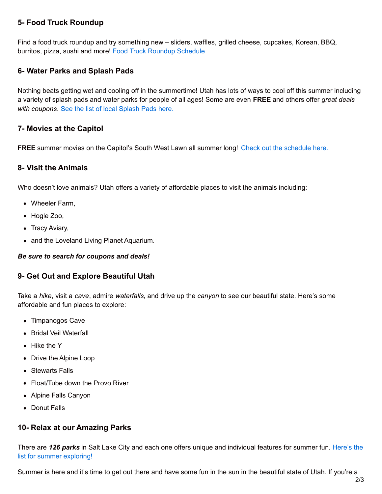#### **5- Food Truck Roundup**

Find a food truck roundup and try something new – sliders, waffles, grilled cheese, cupcakes, Korean, BBQ, burritos, pizza, sushi and more! Food Truck Roundup [Schedule](https://www.coupons4utah.com/big-list-of-utah-food-truck-rallies/)

#### **6- Water Parks and Splash Pads**

Nothing beats getting wet and cooling off in the summertime! Utah has lots of ways to cool off this summer including a variety of splash pads and water parks for people of all ages! Some are even **FREE** and others offer *great deals with coupons*. See the list of local [Splash](http://https//www.coupons4utah.com/utah-splash-pads/) Pads here.

#### **7- Movies at the Capitol**

**FREE** summer movies on the Capitol's South West Lawn all summer long! Check out the [schedule](https://utahstatecapitol.utah.gov/uncategorized/movieunderthestars) here.

#### **8- Visit the Animals**

Who doesn't love animals? Utah offers a variety of affordable places to visit the animals including:

- Wheeler Farm,
- Hogle Zoo,
- Tracy Aviary,
- and the Loveland Living Planet Aquarium.

#### *Be sure to search for coupons and deals!*

#### **9- Get Out and Explore Beautiful Utah**

Take a *hike*, visit a *cave*, admire *waterfalls*, and drive up the *canyon* to see our beautiful state. Here's some affordable and fun places to explore:

- Timpanogos Cave
- Bridal Veil Waterfall
- Hike the Y
- Drive the Alpine Loop
- Stewarts Falls
- Float/Tube down the Provo River
- Alpine Falls Canyon
- Donut Falls

#### **10- Relax at our Amazing Parks**

There are *126 parks* in Salt Lake City and each one offers unique and individual features for summer fun. Here's the list for summer [exploring!](http://www.slcgov.com/cityparks/parks-list-parks)

Summer is here and it's time to get out there and have some fun in the sun in the beautiful state of Utah. If you're a